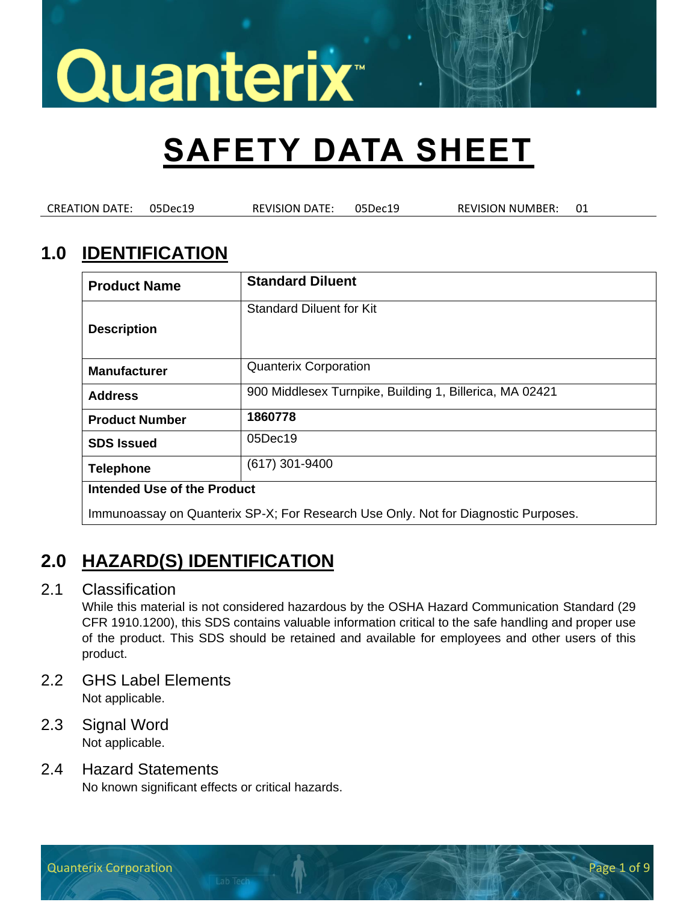## **SAFETY DATA SHEET**

CREATION DATE: 05Dec19 REVISION DATE: 05Dec19 REVISION NUMBER: 01

### **1.0 IDENTIFICATION**

| <b>Product Name</b>         | <b>Standard Diluent</b>                                                            |
|-----------------------------|------------------------------------------------------------------------------------|
| <b>Description</b>          | <b>Standard Diluent for Kit</b>                                                    |
| <b>Manufacturer</b>         | <b>Quanterix Corporation</b>                                                       |
| <b>Address</b>              | 900 Middlesex Turnpike, Building 1, Billerica, MA 02421                            |
| <b>Product Number</b>       | 1860778                                                                            |
| <b>SDS Issued</b>           | 05Dec19                                                                            |
| <b>Telephone</b>            | $(617)$ 301-9400                                                                   |
| Intended Use of the Product |                                                                                    |
|                             | Immunoassay on Quanterix SP-X; For Research Use Only. Not for Diagnostic Purposes. |

### **2.0 HAZARD(S) IDENTIFICATION**

#### 2.1 Classification

While this material is not considered hazardous by the OSHA Hazard Communication Standard (29 CFR 1910.1200), this SDS contains valuable information critical to the safe handling and proper use of the product. This SDS should be retained and available for employees and other users of this product.

- 2.2 GHS Label Elements Not applicable.
- 2.3 Signal Word Not applicable.

#### 2.4 Hazard Statements

No known significant effects or critical hazards.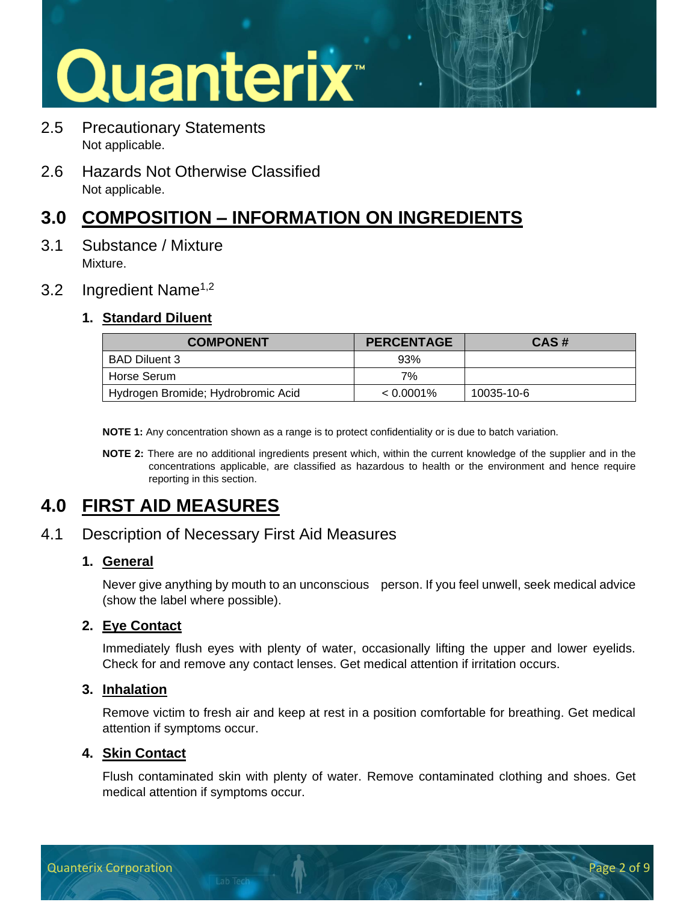- 2.5 Precautionary Statements Not applicable.
- 2.6 Hazards Not Otherwise Classified Not applicable.

## **3.0 COMPOSITION – INFORMATION ON INGREDIENTS**

3.1 Substance / Mixture Mixture.

#### 3.2 Ingredient Name<sup>1,2</sup>

#### **1. Standard Diluent**

| <b>COMPONENT</b>                   | <b>PERCENTAGE</b> | CAS#       |
|------------------------------------|-------------------|------------|
| BAD Diluent 3                      | 93%               |            |
| Horse Serum                        | 7%                |            |
| Hydrogen Bromide; Hydrobromic Acid | $< 0.0001\%$      | 10035-10-6 |

**NOTE 1:** Any concentration shown as a range is to protect confidentiality or is due to batch variation.

**NOTE 2:** There are no additional ingredients present which, within the current knowledge of the supplier and in the concentrations applicable, are classified as hazardous to health or the environment and hence require reporting in this section.

### **4.0 FIRST AID MEASURES**

#### 4.1 Description of Necessary First Aid Measures

#### **1. General**

Never give anything by mouth to an unconscious person. If you feel unwell, seek medical advice (show the label where possible).

#### **2. Eye Contact**

Immediately flush eyes with plenty of water, occasionally lifting the upper and lower eyelids. Check for and remove any contact lenses. Get medical attention if irritation occurs.

#### **3. Inhalation**

Remove victim to fresh air and keep at rest in a position comfortable for breathing. Get medical attention if symptoms occur.

#### **4. Skin Contact**

Flush contaminated skin with plenty of water. Remove contaminated clothing and shoes. Get medical attention if symptoms occur.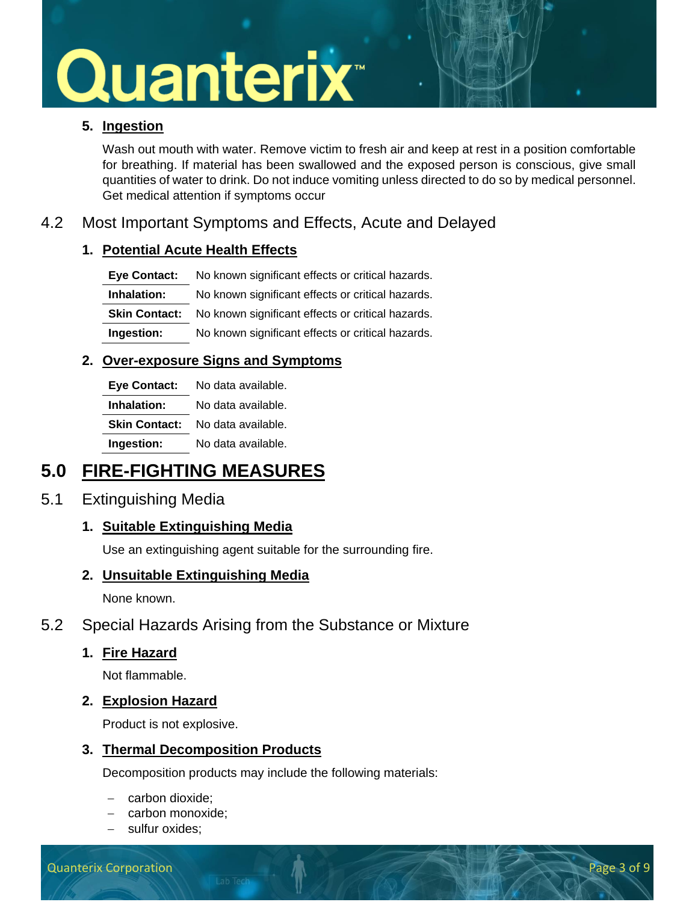#### **5. Ingestion**

Wash out mouth with water. Remove victim to fresh air and keep at rest in a position comfortable for breathing. If material has been swallowed and the exposed person is conscious, give small quantities of water to drink. Do not induce vomiting unless directed to do so by medical personnel. Get medical attention if symptoms occur

#### 4.2 Most Important Symptoms and Effects, Acute and Delayed

#### **1. Potential Acute Health Effects**

| <b>Eve Contact:</b> | No known significant effects or critical hazards.                      |
|---------------------|------------------------------------------------------------------------|
| Inhalation:         | No known significant effects or critical hazards.                      |
|                     | <b>Skin Contact:</b> No known significant effects or critical hazards. |
| Ingestion:          | No known significant effects or critical hazards.                      |

#### **2. Over-exposure Signs and Symptoms**

| <b>Eye Contact:</b>  | No data available. |
|----------------------|--------------------|
| Inhalation:          | No data available. |
| <b>Skin Contact:</b> | No data available. |
| Ingestion:           | No data available. |

### **5.0 FIRE-FIGHTING MEASURES**

#### 5.1 Extinguishing Media

#### **1. Suitable Extinguishing Media**

Use an extinguishing agent suitable for the surrounding fire.

#### **2. Unsuitable Extinguishing Media**

None known.

#### 5.2 Special Hazards Arising from the Substance or Mixture

#### **1. Fire Hazard**

Not flammable.

#### **2. Explosion Hazard**

Product is not explosive.

#### **3. Thermal Decomposition Products**

Decomposition products may include the following materials:

- − carbon dioxide;
- − carbon monoxide;
- − sulfur oxides;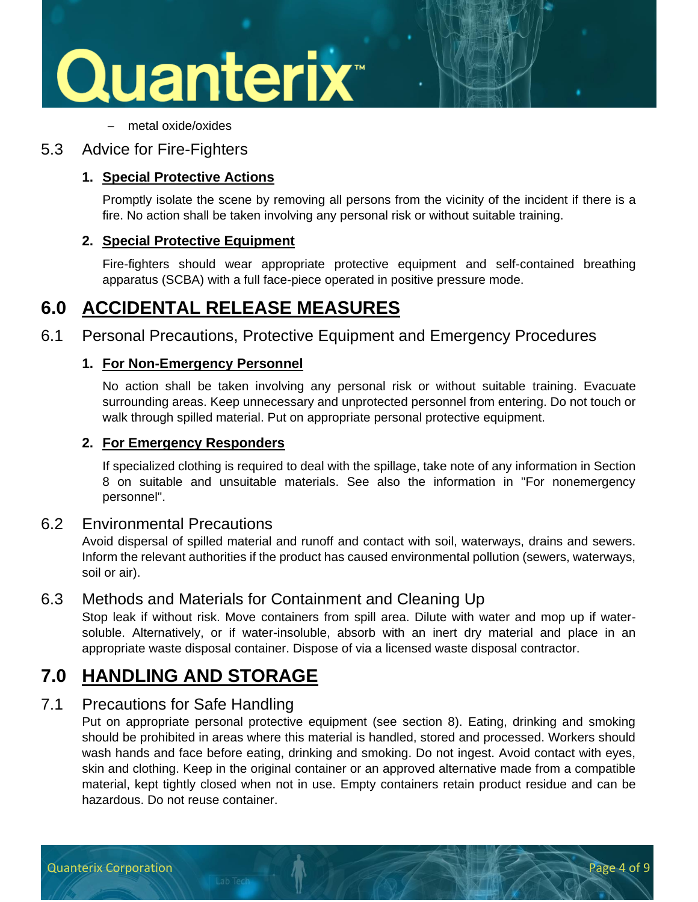

− metal oxide/oxides

#### 5.3 Advice for Fire-Fighters

#### **1. Special Protective Actions**

Promptly isolate the scene by removing all persons from the vicinity of the incident if there is a fire. No action shall be taken involving any personal risk or without suitable training.

#### **2. Special Protective Equipment**

Fire-fighters should wear appropriate protective equipment and self-contained breathing apparatus (SCBA) with a full face-piece operated in positive pressure mode.

### **6.0 ACCIDENTAL RELEASE MEASURES**

6.1 Personal Precautions, Protective Equipment and Emergency Procedures

#### **1. For Non-Emergency Personnel**

No action shall be taken involving any personal risk or without suitable training. Evacuate surrounding areas. Keep unnecessary and unprotected personnel from entering. Do not touch or walk through spilled material. Put on appropriate personal protective equipment.

#### **2. For Emergency Responders**

If specialized clothing is required to deal with the spillage, take note of any information in Section 8 on suitable and unsuitable materials. See also the information in "For nonemergency personnel".

#### 6.2 Environmental Precautions

Avoid dispersal of spilled material and runoff and contact with soil, waterways, drains and sewers. Inform the relevant authorities if the product has caused environmental pollution (sewers, waterways, soil or air).

#### 6.3 Methods and Materials for Containment and Cleaning Up

Stop leak if without risk. Move containers from spill area. Dilute with water and mop up if watersoluble. Alternatively, or if water-insoluble, absorb with an inert dry material and place in an appropriate waste disposal container. Dispose of via a licensed waste disposal contractor.

### **7.0 HANDLING AND STORAGE**

#### 7.1 Precautions for Safe Handling

Put on appropriate personal protective equipment (see section 8). Eating, drinking and smoking should be prohibited in areas where this material is handled, stored and processed. Workers should wash hands and face before eating, drinking and smoking. Do not ingest. Avoid contact with eyes, skin and clothing. Keep in the original container or an approved alternative made from a compatible material, kept tightly closed when not in use. Empty containers retain product residue and can be hazardous. Do not reuse container.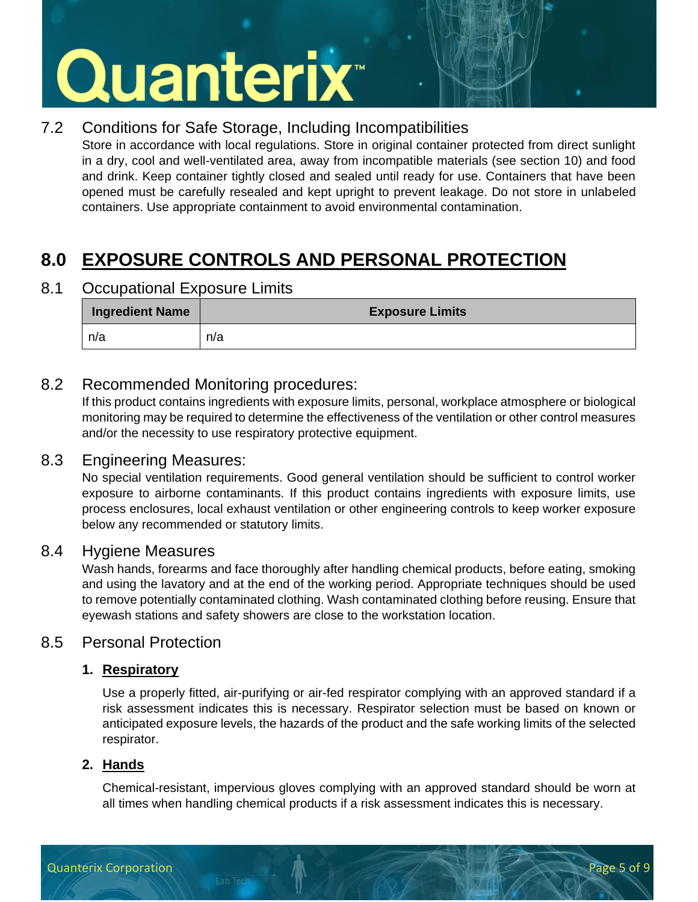### 7.2 Conditions for Safe Storage, Including Incompatibilities

Store in accordance with local regulations. Store in original container protected from direct sunlight in a dry, cool and well-ventilated area, away from incompatible materials (see section 10) and food and drink. Keep container tightly closed and sealed until ready for use. Containers that have been opened must be carefully resealed and kept upright to prevent leakage. Do not store in unlabeled containers. Use appropriate containment to avoid environmental contamination.

## **8.0 EXPOSURE CONTROLS AND PERSONAL PROTECTION**

8.1 Occupational Exposure Limits

| <b>Ingredient Name</b> | <b>Exposure Limits</b> |
|------------------------|------------------------|
| n/a                    | n/a                    |

#### 8.2 Recommended Monitoring procedures:

If this product contains ingredients with exposure limits, personal, workplace atmosphere or biological monitoring may be required to determine the effectiveness of the ventilation or other control measures and/or the necessity to use respiratory protective equipment.

#### 8.3 Engineering Measures:

No special ventilation requirements. Good general ventilation should be sufficient to control worker exposure to airborne contaminants. If this product contains ingredients with exposure limits, use process enclosures, local exhaust ventilation or other engineering controls to keep worker exposure below any recommended or statutory limits.

#### 8.4 Hygiene Measures

Wash hands, forearms and face thoroughly after handling chemical products, before eating, smoking and using the lavatory and at the end of the working period. Appropriate techniques should be used to remove potentially contaminated clothing. Wash contaminated clothing before reusing. Ensure that eyewash stations and safety showers are close to the workstation location.

#### 8.5 Personal Protection

#### **1. Respiratory**

Use a properly fitted, air-purifying or air-fed respirator complying with an approved standard if a risk assessment indicates this is necessary. Respirator selection must be based on known or anticipated exposure levels, the hazards of the product and the safe working limits of the selected respirator.

#### **2. Hands**

Chemical-resistant, impervious gloves complying with an approved standard should be worn at all times when handling chemical products if a risk assessment indicates this is necessary.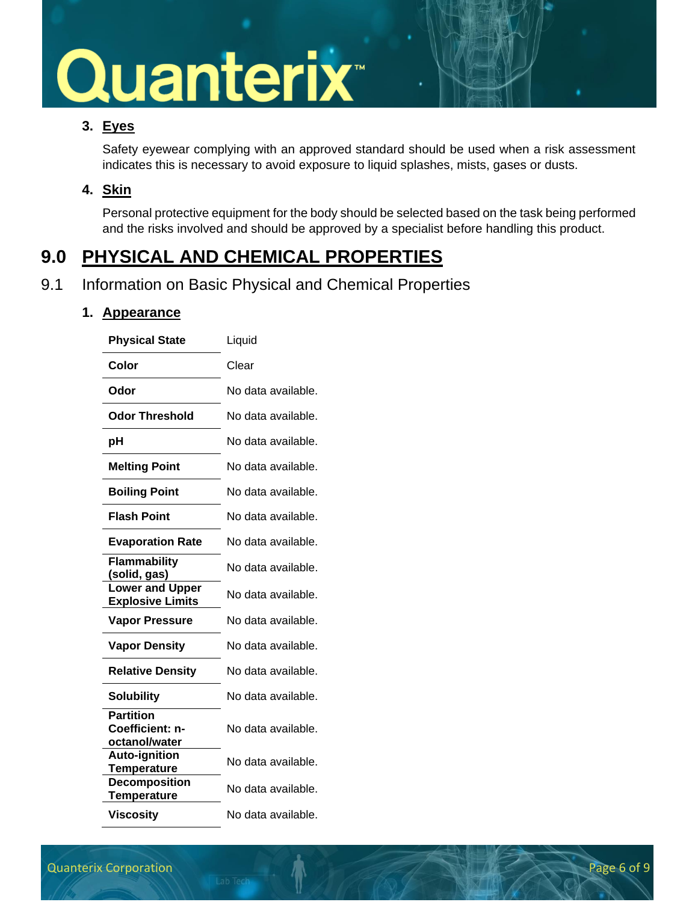#### **3. Eyes**

Safety eyewear complying with an approved standard should be used when a risk assessment indicates this is necessary to avoid exposure to liquid splashes, mists, gases or dusts.

#### **4. Skin**

Personal protective equipment for the body should be selected based on the task being performed and the risks involved and should be approved by a specialist before handling this product.

## **9.0 PHYSICAL AND CHEMICAL PROPERTIES**

#### 9.1 Information on Basic Physical and Chemical Properties

#### **1. Appearance**

| <b>Physical State</b>                                | Liquid             |
|------------------------------------------------------|--------------------|
| Color                                                | Clear              |
| Odor                                                 | No data available. |
| <b>Odor Threshold</b>                                | No data available. |
| рH                                                   | No data available. |
| <b>Melting Point</b>                                 | No data available. |
| <b>Boiling Point</b>                                 | No data available. |
| <b>Flash Point</b>                                   | No data available. |
| <b>Evaporation Rate</b>                              | No data available. |
| Flammability<br>(solid, gas)                         | No data available. |
| <b>Lower and Upper</b><br><b>Explosive Limits</b>    | No data available. |
| <b>Vapor Pressure</b>                                | No data available. |
| <b>Vapor Density</b>                                 | No data available. |
| <b>Relative Density</b>                              | No data available. |
| <b>Solubility</b>                                    | No data available. |
| <b>Partition</b><br>Coefficient: n-<br>octanol/water | No data available. |
| <b>Auto-ignition</b><br><b>Temperature</b>           | No data available. |
| <b>Decomposition</b><br><b>Temperature</b>           | No data available. |
| <b>Viscosity</b>                                     | No data available. |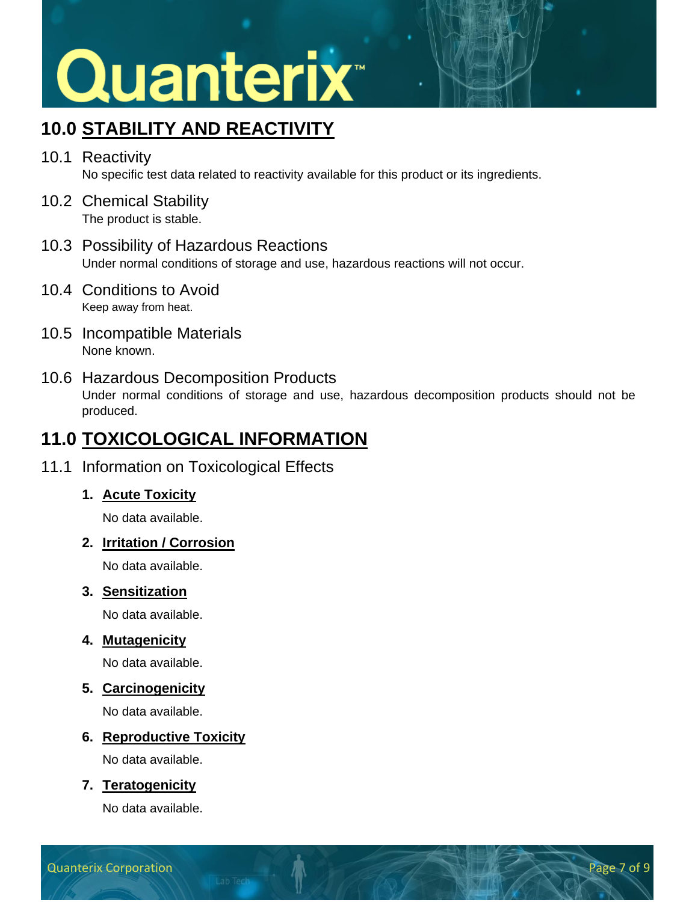## **10.0 STABILITY AND REACTIVITY**

- 10.1 Reactivity No specific test data related to reactivity available for this product or its ingredients.
- 10.2 Chemical Stability The product is stable.
- 10.3 Possibility of Hazardous Reactions Under normal conditions of storage and use, hazardous reactions will not occur.
- 10.4 Conditions to Avoid Keep away from heat.
- 10.5 Incompatible Materials None known.
- 10.6 Hazardous Decomposition Products

Under normal conditions of storage and use, hazardous decomposition products should not be produced.

## **11.0 TOXICOLOGICAL INFORMATION**

#### 11.1 Information on Toxicological Effects

#### **1. Acute Toxicity**

No data available.

#### **2. Irritation / Corrosion**

No data available.

#### **3. Sensitization**

No data available.

#### **4. Mutagenicity**

No data available.

#### **5. Carcinogenicity**

No data available.

#### **6. Reproductive Toxicity**

No data available.

#### **7. Teratogenicity**

No data available.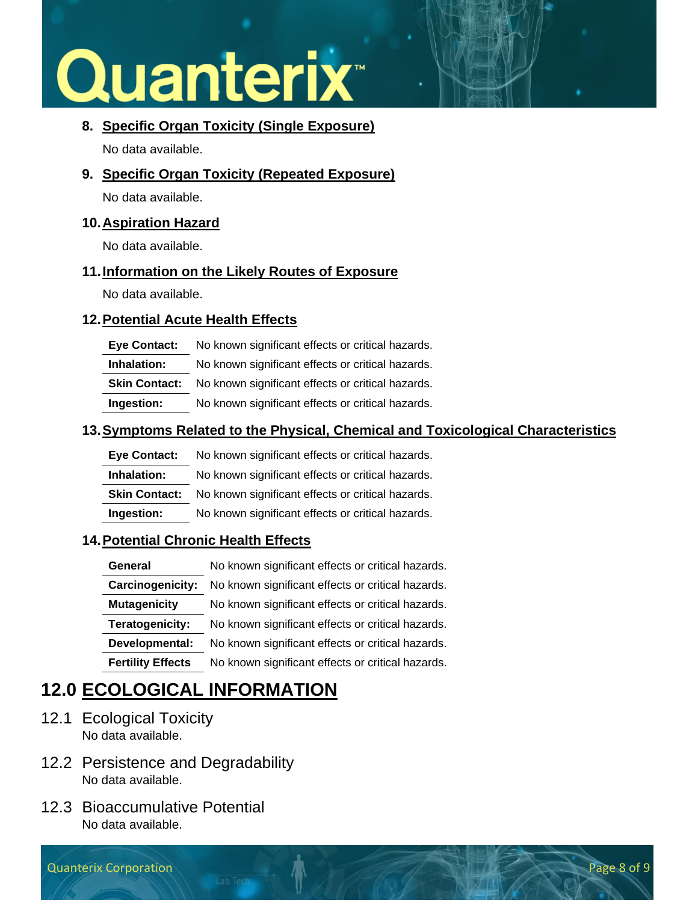#### **8. Specific Organ Toxicity (Single Exposure)**

No data available.

**9. Specific Organ Toxicity (Repeated Exposure)**

No data available.

#### **10.Aspiration Hazard**

No data available.

#### **11.Information on the Likely Routes of Exposure**

No data available.

#### **12.Potential Acute Health Effects**

| <b>Eye Contact:</b>  | No known significant effects or critical hazards. |
|----------------------|---------------------------------------------------|
| Inhalation:          | No known significant effects or critical hazards. |
| <b>Skin Contact:</b> | No known significant effects or critical hazards. |
| Ingestion:           | No known significant effects or critical hazards. |

#### **13.Symptoms Related to the Physical, Chemical and Toxicological Characteristics**

| <b>Eve Contact:</b>  | No known significant effects or critical hazards. |
|----------------------|---------------------------------------------------|
| Inhalation:          | No known significant effects or critical hazards. |
| <b>Skin Contact:</b> | No known significant effects or critical hazards. |
| Ingestion:           | No known significant effects or critical hazards. |

#### **14.Potential Chronic Health Effects**

| General                  | No known significant effects or critical hazards. |
|--------------------------|---------------------------------------------------|
| Carcinogenicity:         | No known significant effects or critical hazards. |
| <b>Mutagenicity</b>      | No known significant effects or critical hazards. |
| Teratogenicity:          | No known significant effects or critical hazards. |
| Developmental:           | No known significant effects or critical hazards. |
| <b>Fertility Effects</b> | No known significant effects or critical hazards. |

## **12.0 ECOLOGICAL INFORMATION**

- 12.1 Ecological Toxicity No data available.
- 12.2 Persistence and Degradability No data available.
- 12.3 Bioaccumulative Potential No data available.